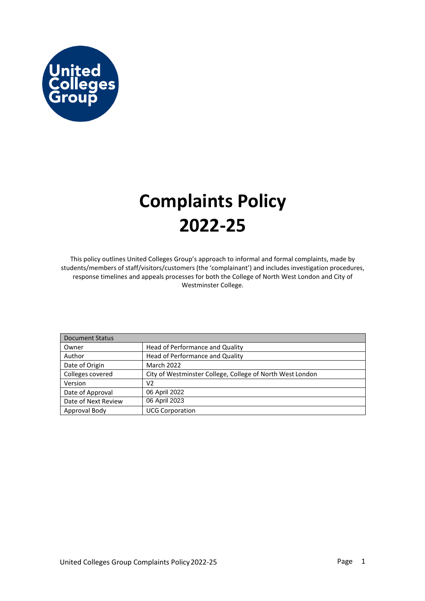

## **Complaints Policy 2022-25**

This policy outlines United Colleges Group's approach to informal and formal complaints, made by students/members of staff/visitors/customers (the 'complainant') and includes investigation procedures, response timelines and appeals processes for both the College of North West London and City of Westminster College.

| <b>Document Status</b> |                                                           |  |  |  |
|------------------------|-----------------------------------------------------------|--|--|--|
| Owner                  | Head of Performance and Quality                           |  |  |  |
| Author                 | Head of Performance and Quality                           |  |  |  |
| Date of Origin         | March 2022                                                |  |  |  |
| Colleges covered       | City of Westminster College, College of North West London |  |  |  |
| Version                | V2                                                        |  |  |  |
| Date of Approval       | 06 April 2022                                             |  |  |  |
| Date of Next Review    | 06 April 2023                                             |  |  |  |
| Approval Body          | <b>UCG Corporation</b>                                    |  |  |  |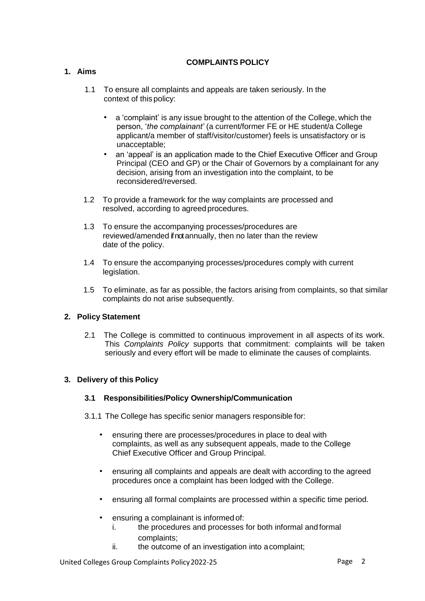#### **COMPLAINTS POLICY**

#### **1. Aims**

- 1.1 To ensure all complaints and appeals are taken seriously. In the context of this policy:
	- a 'complaint' is any issue brought to the attention of the College, which the person, '*the complainant'* (a current/former FE or HE student/a College applicant/a member of staff/visitor/customer) feels is unsatisfactory or is unacceptable;
	- an 'appeal' is an application made to the Chief Executive Officer and Group Principal (CEO and GP) or the Chair of Governors by a complainant for any decision, arising from an investigation into the complaint, to be reconsidered/reversed.
- 1.2 To provide a framework for the way complaints are processed and resolved, according to agreed procedures.
- 1.3 To ensure the accompanying processes/procedures are reviewed/amended if not annually, then no later than the review date of the policy.
- 1.4 To ensure the accompanying processes/procedures comply with current legislation.
- 1.5 To eliminate, as far as possible, the factors arising from complaints, so that similar complaints do not arise subsequently.

#### **2. Policy Statement**

2.1 The College is committed to continuous improvement in all aspects of its work. This *Complaints Policy* supports that commitment: complaints will be taken seriously and every effort will be made to eliminate the causes of complaints.

#### **3. Delivery of this Policy**

#### **3.1 Responsibilities/Policy Ownership/Communication**

3.1.1 The College has specific senior managers responsible for:

- ensuring there are processes/procedures in place to deal with complaints, as well as any subsequent appeals, made to the College Chief Executive Officer and Group Principal.
- ensuring all complaints and appeals are dealt with according to the agreed procedures once a complaint has been lodged with the College.
- ensuring all formal complaints are processed within a specific time period.
- ensuring a complainant is informed of:
	- i. the procedures and processes for both informal and formal complaints;
	- ii. the outcome of an investigation into acomplaint;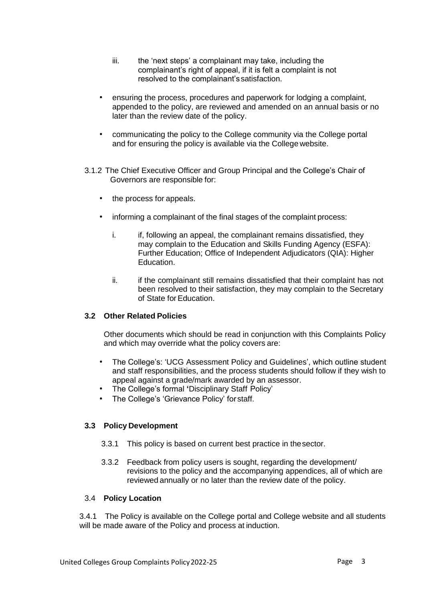- iii. the 'next steps' a complainant may take, including the complainant's right of appeal, if it is felt a complaint is not resolved to the complainant'ssatisfaction.
- ensuring the process, procedures and paperwork for lodging a complaint, appended to the policy, are reviewed and amended on an annual basis or no later than the review date of the policy.
- communicating the policy to the College community via the College portal and for ensuring the policy is available via the College website.
- 3.1.2 The Chief Executive Officer and Group Principal and the College's Chair of Governors are responsible for:
	- the process for appeals.
	- informing a complainant of the final stages of the complaint process:
		- i. if, following an appeal, the complainant remains dissatisfied, they may complain to the Education and Skills Funding Agency (ESFA): Further Education; Office of Independent Adjudicators (QIA): Higher Education.
		- ii. if the complainant still remains dissatisfied that their complaint has not been resolved to their satisfaction, they may complain to the Secretary of State for Education.

#### **3.2 Other Related Policies**

Other documents which should be read in conjunction with this Complaints Policy and which may override what the policy covers are:

- The College's: 'UCG Assessment Policy and Guidelines', which outline student and staff responsibilities, and the process students should follow if they wish to appeal against a grade/mark awarded by an assessor.
- The College's formal **'**Disciplinary Staff Policy'
- The College's 'Grievance Policy' for staff.

#### **3.3 Policy Development**

- 3.3.1 This policy is based on current best practice in thesector.
- 3.3.2 Feedback from policy users is sought, regarding the development/ revisions to the policy and the accompanying appendices, all of which are reviewed annually or no later than the review date of the policy.

#### 3.4 **Policy Location**

3.4.1 The Policy is available on the College portal and College website and all students will be made aware of the Policy and process at induction.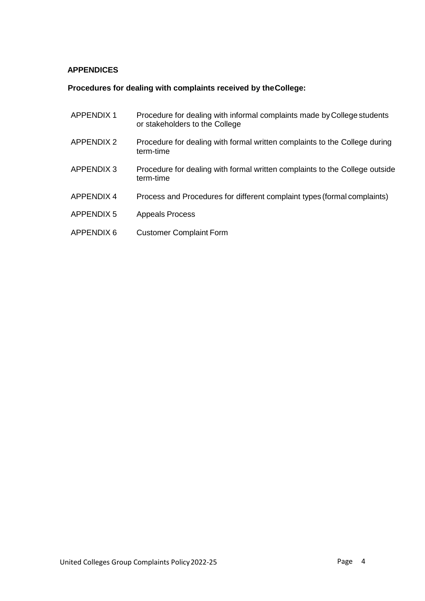#### **APPENDICES**

#### **Procedures for dealing with complaints received by theCollege:**

| <b>APPENDIX1</b>  | Procedure for dealing with informal complaints made by College students<br>or stakeholders to the College |
|-------------------|-----------------------------------------------------------------------------------------------------------|
| <b>APPENDIX 2</b> | Procedure for dealing with formal written complaints to the College during<br>term-time                   |
| <b>APPENDIX 3</b> | Procedure for dealing with formal written complaints to the College outside<br>term-time                  |
| <b>APPENDIX 4</b> | Process and Procedures for different complaint types (formal complaints)                                  |
| <b>APPENDIX 5</b> | <b>Appeals Process</b>                                                                                    |
| <b>APPENDIX 6</b> | <b>Customer Complaint Form</b>                                                                            |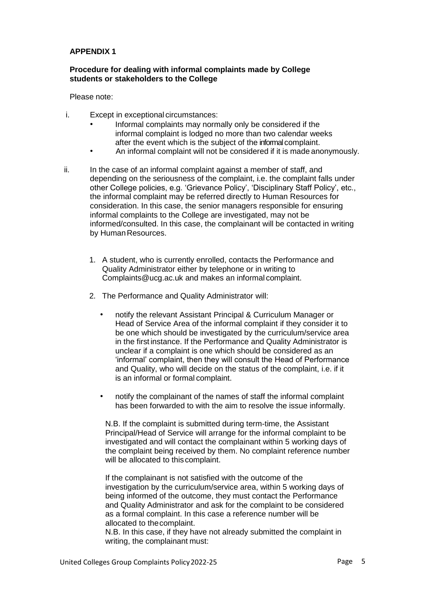#### **Procedure for dealing with informal complaints made by College students or stakeholders to the College**

Please note:

- i. Except in exceptional circumstances:
	- Informal complaints may normally only be considered if the informal complaint is lodged no more than two calendar weeks after the event which is the subject of the informal complaint.
	- An informal complaint will not be considered if it is made anonymously.
- ii. In the case of an informal complaint against a member of staff, and depending on the seriousness of the complaint, i.e. the complaint falls under other College policies, e.g. 'Grievance Policy', 'Disciplinary Staff Policy', etc., the informal complaint may be referred directly to Human Resources for consideration. In this case, the senior managers responsible for ensuring informal complaints to the College are investigated, may not be informed/consulted. In this case, the complainant will be contacted in writing by Human Resources.
	- 1. A student, who is currently enrolled, contacts the Performance and Quality Administrator either by telephone or in writing to Complaints@ucg.ac.uk and makes an informal complaint.
	- 2. The Performance and Quality Administrator will:
		- notify the relevant Assistant Principal & Curriculum Manager or Head of Service Area of the informal complaint if they consider it to be one which should be investigated by the curriculum/service area in the first instance. If the Performance and Quality Administrator is unclear if a complaint is one which should be considered as an 'informal' complaint, then they will consult the Head of Performance and Quality, who will decide on the status of the complaint, i.e. if it is an informal or formal complaint.
		- notify the complainant of the names of staff the informal complaint has been forwarded to with the aim to resolve the issue informally.

N.B. If the complaint is submitted during term-time, the Assistant Principal/Head of Service will arrange for the informal complaint to be investigated and will contact the complainant within 5 working days of the complaint being received by them. No complaint reference number will be allocated to this complaint.

If the complainant is not satisfied with the outcome of the investigation by the curriculum/service area, within 5 working days of being informed of the outcome, they must contact the Performance and Quality Administrator and ask for the complaint to be considered as a formal complaint. In this case a reference number will be allocated to thecomplaint.

N.B. In this case, if they have not already submitted the complaint in writing, the complainant must: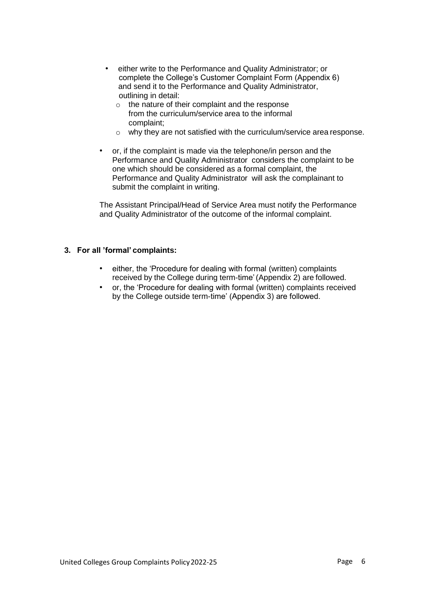- either write to the Performance and Quality Administrator; or complete the College's Customer Complaint Form (Appendix 6) and send it to the Performance and Quality Administrator, outlining in detail:
	- o the nature of their complaint and the response from the curriculum/service area to the informal complaint;
	- o why they are not satisfied with the curriculum/service area response.
- or, if the complaint is made via the telephone/in person and the Performance and Quality Administrator considers the complaint to be one which should be considered as a formal complaint, the Performance and Quality Administrator will ask the complainant to submit the complaint in writing.

The Assistant Principal/Head of Service Area must notify the Performance and Quality Administrator of the outcome of the informal complaint.

#### **3. For all 'formal' complaints:**

- either, the 'Procedure for dealing with formal (written) complaints received by the College during term-time'(Appendix 2) are followed.
- or, the 'Procedure for dealing with formal (written) complaints received by the College outside term-time' (Appendix 3) are followed.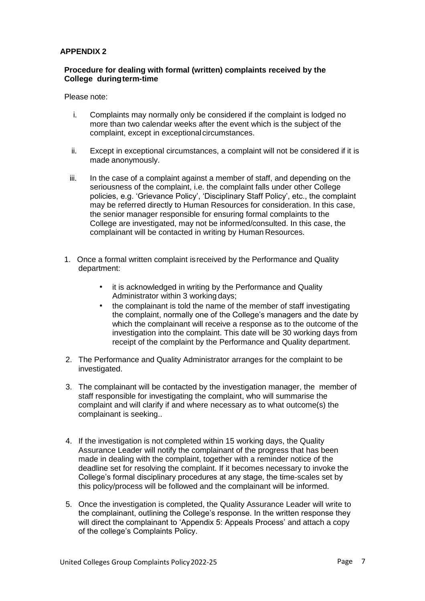#### **Procedure for dealing with formal (written) complaints received by the College duringterm-time**

Please note:

- i. Complaints may normally only be considered if the complaint is lodged no more than two calendar weeks after the event which is the subject of the complaint, except in exceptional circumstances.
- ii. Except in exceptional circumstances, a complaint will not be considered if it is made anonymously.
- iii. In the case of a complaint against a member of staff, and depending on the seriousness of the complaint, i.e. the complaint falls under other College policies, e.g. 'Grievance Policy', 'Disciplinary Staff Policy', etc., the complaint may be referred directly to Human Resources for consideration. In this case, the senior manager responsible for ensuring formal complaints to the College are investigated, may not be informed/consulted. In this case, the complainant will be contacted in writing by Human Resources.
- 1. Once a formal written complaint isreceived by the Performance and Quality department:
	- it is acknowledged in writing by the Performance and Quality Administrator within 3 working days;
	- the complainant is told the name of the member of staff investigating the complaint, normally one of the College's managers and the date by which the complainant will receive a response as to the outcome of the investigation into the complaint. This date will be 30 working days from receipt of the complaint by the Performance and Quality department.
- 2. The Performance and Quality Administrator arranges for the complaint to be investigated.
- 3. The complainant will be contacted by the investigation manager, the member of staff responsible for investigating the complaint, who will summarise the complaint and will clarify if and where necessary as to what outcome(s) the complainant is seeking..
- 4. If the investigation is not completed within 15 working days, the Quality Assurance Leader will notify the complainant of the progress that has been made in dealing with the complaint, together with a reminder notice of the deadline set for resolving the complaint. If it becomes necessary to invoke the College's formal disciplinary procedures at any stage, the time-scales set by this policy/process will be followed and the complainant will be informed.
- 5. Once the investigation is completed, the Quality Assurance Leader will write to the complainant, outlining the College's response. In the written response they will direct the complainant to 'Appendix 5: Appeals Process' and attach a copy of the college's Complaints Policy.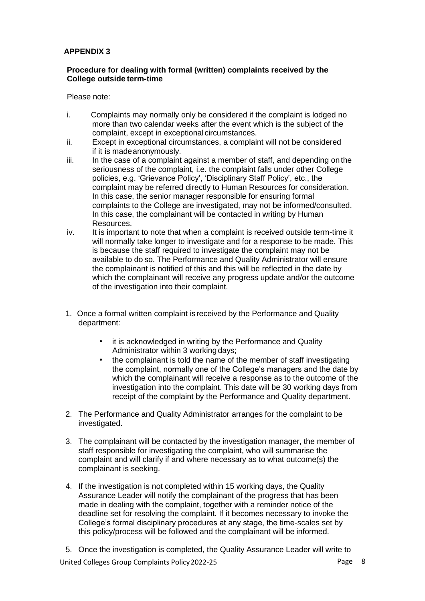#### **Procedure for dealing with formal (written) complaints received by the College outside term-time**

Please note:

- i. Complaints may normally only be considered if the complaint is lodged no more than two calendar weeks after the event which is the subject of the complaint, except in exceptional circumstances.
- ii. Except in exceptional circumstances, a complaint will not be considered if it is madeanonymously.
- iii. In the case of a complaint against a member of staff, and depending onthe seriousness of the complaint, i.e. the complaint falls under other College policies, e.g. 'Grievance Policy', 'Disciplinary Staff Policy', etc., the complaint may be referred directly to Human Resources for consideration. In this case, the senior manager responsible for ensuring formal complaints to the College are investigated, may not be informed/consulted. In this case, the complainant will be contacted in writing by Human Resources.
- iv. It is important to note that when a complaint is received outside term-time it will normally take longer to investigate and for a response to be made. This is because the staff required to investigate the complaint may not be available to do so. The Performance and Quality Administrator will ensure the complainant is notified of this and this will be reflected in the date by which the complainant will receive any progress update and/or the outcome of the investigation into their complaint.
- 1. Once a formal written complaint isreceived by the Performance and Quality department:
	- it is acknowledged in writing by the Performance and Quality Administrator within 3 working days;
	- the complainant is told the name of the member of staff investigating the complaint, normally one of the College's managers and the date by which the complainant will receive a response as to the outcome of the investigation into the complaint. This date will be 30 working days from receipt of the complaint by the Performance and Quality department.
- 2. The Performance and Quality Administrator arranges for the complaint to be investigated.
- 3. The complainant will be contacted by the investigation manager, the member of staff responsible for investigating the complaint, who will summarise the complaint and will clarify if and where necessary as to what outcome(s) the complainant is seeking.
- 4. If the investigation is not completed within 15 working days, the Quality Assurance Leader will notify the complainant of the progress that has been made in dealing with the complaint, together with a reminder notice of the deadline set for resolving the complaint. If it becomes necessary to invoke the College's formal disciplinary procedures at any stage, the time-scales set by this policy/process will be followed and the complainant will be informed.

United Colleges Group Complaints Policy 2022-25 Page 8 5. Once the investigation is completed, the Quality Assurance Leader will write to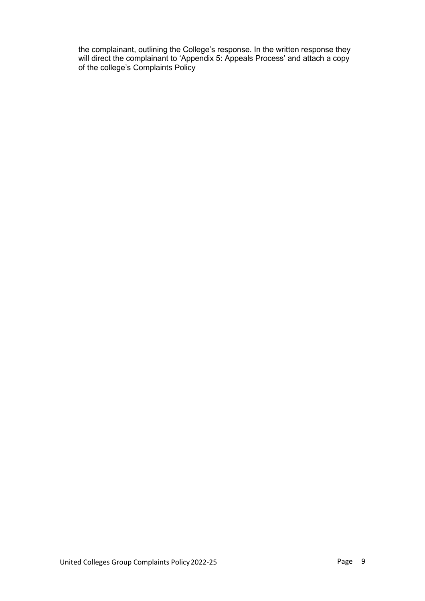the complainant, outlining the College's response. In the written response they will direct the complainant to 'Appendix 5: Appeals Process' and attach a copy of the college's Complaints Policy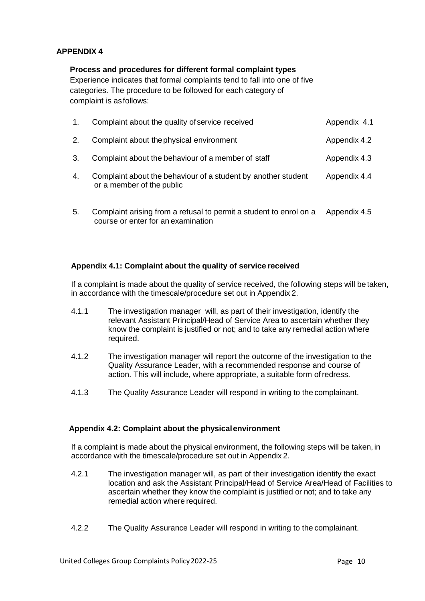#### **Process and procedures for different formal complaint types**

Experience indicates that formal complaints tend to fall into one of five categories. The procedure to be followed for each category of complaint is asfollows:

| 1. | Complaint about the quality of service received                                            | Appendix 4.1 |
|----|--------------------------------------------------------------------------------------------|--------------|
| 2. | Complaint about the physical environment                                                   | Appendix 4.2 |
| 3. | Complaint about the behaviour of a member of staff                                         | Appendix 4.3 |
| 4. | Complaint about the behaviour of a student by another student<br>or a member of the public | Appendix 4.4 |

5. Complaint arising from a refusal to permit a student to enrol on a Appendix 4.5 course or enter for an examination

#### **Appendix 4.1: Complaint about the quality of service received**

If a complaint is made about the quality of service received, the following steps will be taken, in accordance with the timescale/procedure set out in Appendix 2.

- 4.1.1 The investigation manager will, as part of their investigation, identify the relevant Assistant Principal/Head of Service Area to ascertain whether they know the complaint is justified or not; and to take any remedial action where required.
- 4.1.2 The investigation manager will report the outcome of the investigation to the Quality Assurance Leader, with a recommended response and course of action. This will include, where appropriate, a suitable form ofredress.
- 4.1.3 The Quality Assurance Leader will respond in writing to the complainant.

#### **Appendix 4.2: Complaint about the physicalenvironment**

If a complaint is made about the physical environment, the following steps will be taken, in accordance with the timescale/procedure set out in Appendix 2.

- 4.2.1 The investigation manager will, as part of their investigation identify the exact location and ask the Assistant Principal/Head of Service Area/Head of Facilities to ascertain whether they know the complaint is justified or not; and to take any remedial action where required.
- 4.2.2 The Quality Assurance Leader will respond in writing to the complainant.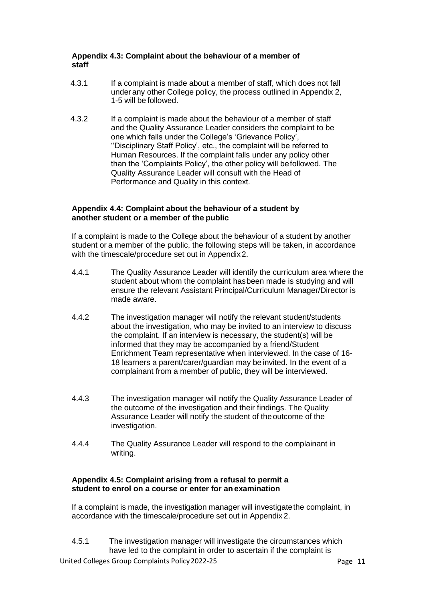#### **Appendix 4.3: Complaint about the behaviour of a member of staff**

- 4.3.1 If a complaint is made about a member of staff, which does not fall under any other College policy, the process outlined in Appendix 2, 1-5 will be followed.
- 4.3.2 If a complaint is made about the behaviour of a member of staff and the Quality Assurance Leader considers the complaint to be one which falls under the College's 'Grievance Policy', ''Disciplinary Staff Policy', etc., the complaint will be referred to Human Resources. If the complaint falls under any policy other than the 'Complaints Policy', the other policy will befollowed. The Quality Assurance Leader will consult with the Head of Performance and Quality in this context.

#### **Appendix 4.4: Complaint about the behaviour of a student by another student or a member of the public**

If a complaint is made to the College about the behaviour of a student by another student or a member of the public, the following steps will be taken, in accordance with the timescale/procedure set out in Appendix2.

- 4.4.1 The Quality Assurance Leader will identify the curriculum area where the student about whom the complaint hasbeen made is studying and will ensure the relevant Assistant Principal/Curriculum Manager/Director is made aware.
- 4.4.2 The investigation manager will notify the relevant student/students about the investigation, who may be invited to an interview to discuss the complaint. If an interview is necessary, the student(s) will be informed that they may be accompanied by a friend/Student Enrichment Team representative when interviewed. In the case of 16- 18 learners a parent/carer/guardian may be invited. In the event of a complainant from a member of public, they will be interviewed.
- 4.4.3 The investigation manager will notify the Quality Assurance Leader of the outcome of the investigation and their findings. The Quality Assurance Leader will notify the student of the outcome of the investigation.
- 4.4.4 The Quality Assurance Leader will respond to the complainant in writing.

#### **Appendix 4.5: Complaint arising from a refusal to permit a student to enrol on a course or enter for anexamination**

If a complaint is made, the investigation manager will investigatethe complaint, in accordance with the timescale/procedure set out in Appendix 2.

4.5.1 The investigation manager will investigate the circumstances which have led to the complaint in order to ascertain if the complaint is

United Colleges Group Complaints Policy 2022-25 Page 11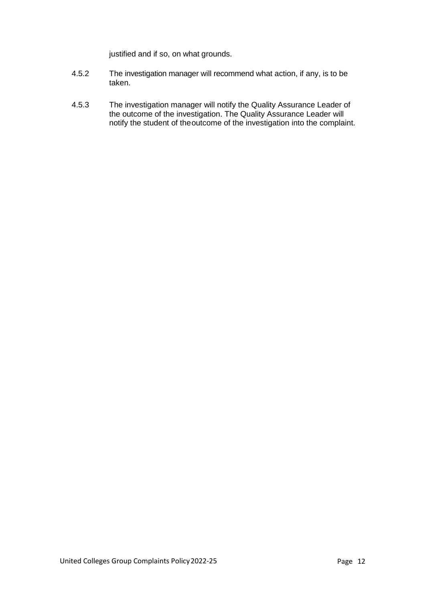justified and if so, on what grounds.

- 4.5.2 The investigation manager will recommend what action, if any, is to be taken.
- 4.5.3 The investigation manager will notify the Quality Assurance Leader of the outcome of the investigation. The Quality Assurance Leader will notify the student of theoutcome of the investigation into the complaint.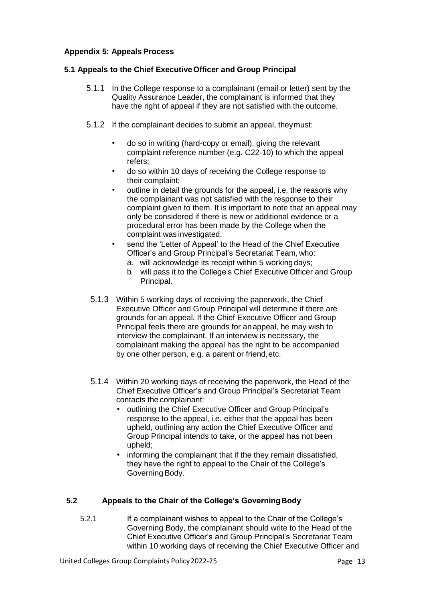#### **Appendix 5: Appeals Process**

#### **5.1 Appeals to the Chief ExecutiveOfficer and Group Principal**

- 5.1.1 In the College response to a complainant (email or letter) sent by the Quality Assurance Leader, the complainant is informed that they have the right of appeal if they are not satisfied with the outcome.
- 5.1.2 If the complainant decides to submit an appeal, theymust:
	- do so in writing (hard-copy or email), giving the relevant complaint reference number (e.g. C22-10) to which the appeal refers;
	- do so within 10 days of receiving the College response to their complaint;
	- outline in detail the grounds for the appeal, i.e. the reasons why the complainant was not satisfied with the response to their complaint given to them. It is important to note that an appeal may only be considered if there is new or additional evidence or a procedural error has been made by the College when the complaint was investigated.
	- send the 'Letter of Appeal' to the Head of the Chief Executive Officer's and Group Principal's Secretariat Team, who:
		- a. will acknowledge its receipt within 5 workingdays;
		- b. will pass it to the College's Chief Executive Officer and Group Principal.
- 5.1.3 Within 5 working days of receiving the paperwork, the Chief Executive Officer and Group Principal will determine if there are grounds for an appeal. If the Chief Executive Officer and Group Principal feels there are grounds for anappeal, he may wish to interview the complainant. If an interview is necessary, the complainant making the appeal has the right to be accompanied by one other person, e.g. a parent or friend,etc.
- 5.1.4 Within 20 working days of receiving the paperwork, the Head of the Chief Executive Officer's and Group Principal's Secretariat Team contacts the complainant:
	- outlining the Chief Executive Officer and Group Principal's response to the appeal, i.e. either that the appeal has been upheld, outlining any action the Chief Executive Officer and Group Principal intends to take, or the appeal has not been upheld;
	- informing the complainant that if the they remain dissatisfied, they have the right to appeal to the Chair of the College's Governing Body.

#### **5.2 Appeals to the Chair of the College's GoverningBody**

5.2.1 If a complainant wishes to appeal to the Chair of the College's Governing Body, the complainant should write to the Head of the Chief Executive Officer's and Group Principal's Secretariat Team within 10 working days of receiving the Chief Executive Officer and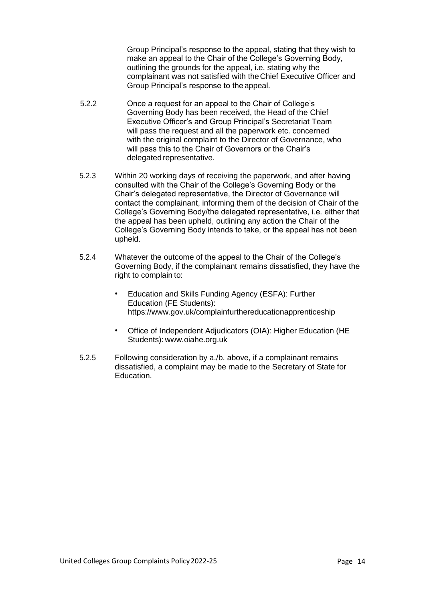Group Principal's response to the appeal, stating that they wish to make an appeal to the Chair of the College's Governing Body, outlining the grounds for the appeal, i.e. stating why the complainant was not satisfied with theChief Executive Officer and Group Principal's response to the appeal.

- 5.2.2 Once a request for an appeal to the Chair of College's Governing Body has been received, the Head of the Chief Executive Officer's and Group Principal's Secretariat Team will pass the request and all the paperwork etc. concerned with the original complaint to the Director of Governance, who will pass this to the Chair of Governors or the Chair's delegated representative.
- 5.2.3 Within 20 working days of receiving the paperwork, and after having consulted with the Chair of the College's Governing Body or the Chair's delegated representative, the Director of Governance will contact the complainant, informing them of the decision of Chair of the College's Governing Body/the delegated representative, i.e. either that the appeal has been upheld, outlining any action the Chair of the College's Governing Body intends to take, or the appeal has not been upheld.
- 5.2.4 Whatever the outcome of the appeal to the Chair of the College's Governing Body, if the complainant remains dissatisfied, they have the right to complain to:
	- Education and Skills Funding Agency (ESFA): Further Education (FE Students): https:[//www.gov.uk/complainfurthereducationapprenticeship](http://www.gov.uk/complainfurthereducationapprenticeship)
	- Office of Independent Adjudicators (OIA): Higher Education (HE Students): [www.oiahe.org.uk](http://www.oiahe.org.uk/)
- 5.2.5 Following consideration by a./b. above, if a complainant remains dissatisfied, a complaint may be made to the Secretary of State for Education.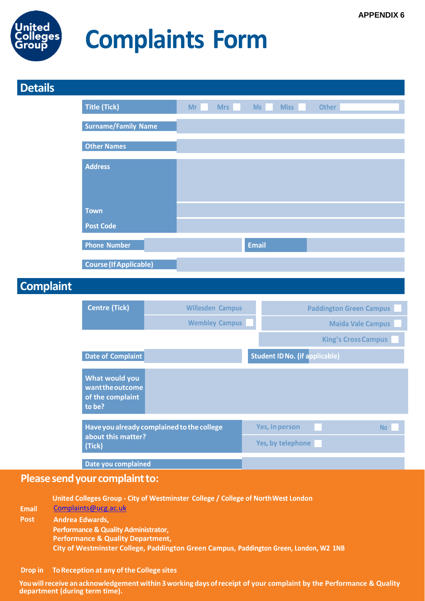

# **Complaints Form**

| <b>Details</b>              |                                                                                                                               |                         |                                          |  |
|-----------------------------|-------------------------------------------------------------------------------------------------------------------------------|-------------------------|------------------------------------------|--|
|                             | <b>Title (Tick)</b>                                                                                                           | Mr<br><b>Mrs</b>        | <b>Miss</b><br><b>Other</b><br><b>Ms</b> |  |
|                             | <b>Surname/Family Name</b>                                                                                                    |                         |                                          |  |
|                             | <b>Other Names</b>                                                                                                            |                         |                                          |  |
|                             | <b>Address</b>                                                                                                                |                         |                                          |  |
|                             | <b>Town</b>                                                                                                                   |                         |                                          |  |
|                             | <b>Post Code</b>                                                                                                              |                         |                                          |  |
|                             | <b>Phone Number</b>                                                                                                           |                         | <b>Email</b>                             |  |
|                             | <b>Course (If Applicable)</b>                                                                                                 |                         |                                          |  |
| <b>Complaint</b>            |                                                                                                                               |                         |                                          |  |
|                             | <b>Centre (Tick)</b>                                                                                                          | <b>Willesden Campus</b> | <b>Paddington Green Campus</b>           |  |
|                             |                                                                                                                               | <b>Wembley Campus</b>   | <b>Maida Vale Campus</b>                 |  |
|                             |                                                                                                                               |                         | <b>King's Cross Campus</b>               |  |
|                             | Date of Complaint                                                                                                             |                         | <b>Student ID No. (if applicable)</b>    |  |
|                             | <b>What would you</b><br>want the outcome<br>of the complaint<br>to be?                                                       |                         |                                          |  |
|                             | Have you already complained to the college                                                                                    |                         | Yes, in person<br><b>No</b>              |  |
|                             | about this matter?<br>(Tick)                                                                                                  |                         | Yes, by telephone                        |  |
|                             | Date you complained                                                                                                           |                         |                                          |  |
|                             | Please send your complaint to:                                                                                                |                         |                                          |  |
| <b>Email</b><br><b>Post</b> | United Colleges Group - City of Westminster College / College of North West London<br>Complaints@ucg.ac.uk<br>Andrea Edwards, |                         |                                          |  |

**Performance & Quality Administrator, Performance & Quality Department,**

**City of Westminster College, Paddington Green Campus,** 

#### Drop in **ToReception at any ofthe College sites**

**Youwillreceive an acknowledgementwithin3working days ofreceipt of your complaint by the Performance & Quality department (during term time).**